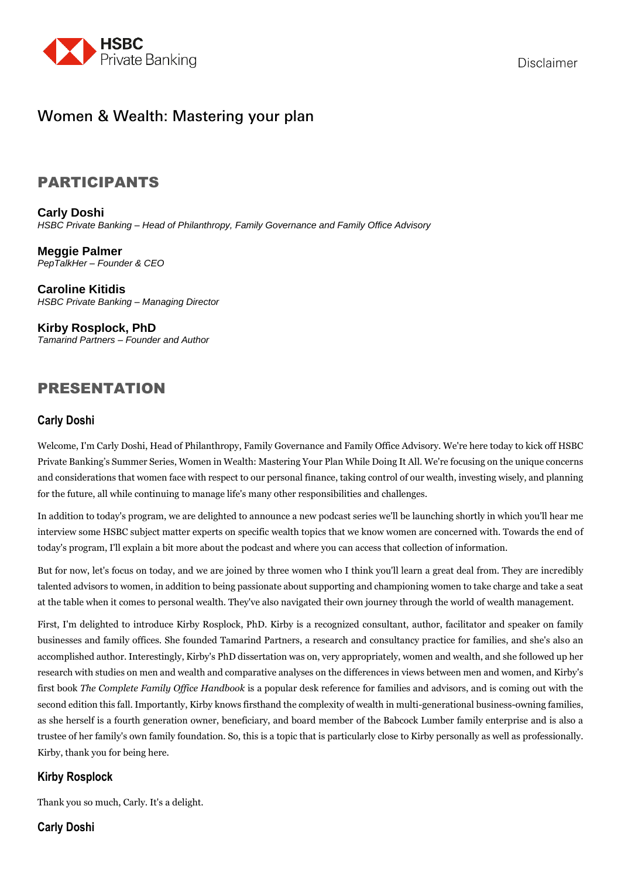

# Women & Wealth: Mastering your plan

## PARTICIPANTS

**Carly Doshi** *HSBC Private Banking – Head of Philanthropy, Family Governance and Family Office Advisory*

**Meggie Palmer**  *PepTalkHer – Founder & CEO*

**Caroline Kitidis** *HSBC Private Banking – Managing Director*

**Kirby Rosplock, PhD** *Tamarind Partners – Founder and Author*

# PRESENTATION

## **Carly Doshi**

Welcome, I'm Carly Doshi, Head of Philanthropy, Family Governance and Family Office Advisory. We're here today to kick off HSBC Private Banking's Summer Series, Women in Wealth: Mastering Your Plan While Doing It All. We're focusing on the unique concerns and considerations that women face with respect to our personal finance, taking control of our wealth, investing wisely, and planning for the future, all while continuing to manage life's many other responsibilities and challenges.

In addition to today's program, we are delighted to announce a new podcast series we'll be launching shortly in which you'll hear me interview some HSBC subject matter experts on specific wealth topics that we know women are concerned with. Towards the end of today's program, I'll explain a bit more about the podcast and where you can access that collection of information.

But for now, let's focus on today, and we are joined by three women who I think you'll learn a great deal from. They are incredibly talented advisors to women, in addition to being passionate about supporting and championing women to take charge and take a seat at the table when it comes to personal wealth. They've also navigated their own journey through the world of wealth management.

First, I'm delighted to introduce Kirby Rosplock, PhD. Kirby is a recognized consultant, author, facilitator and speaker on family businesses and family offices. She founded Tamarind Partners, a research and consultancy practice for families, and she's also an accomplished author. Interestingly, Kirby's PhD dissertation was on, very appropriately, women and wealth, and she followed up her research with studies on men and wealth and comparative analyses on the differences in views between men and women, and Kirby's first book *The Complete Family Office Handbook* is a popular desk reference for families and advisors, and is coming out with the second edition this fall. Importantly, Kirby knows firsthand the complexity of wealth in multi-generational business-owning families, as she herself is a fourth generation owner, beneficiary, and board member of the Babcock Lumber family enterprise and is also a trustee of her family's own family foundation. So, this is a topic that is particularly close to Kirby personally as well as professionally. Kirby, thank you for being here.

## **Kirby Rosplock**

Thank you so much, Carly. It's a delight.

## **Carly Doshi**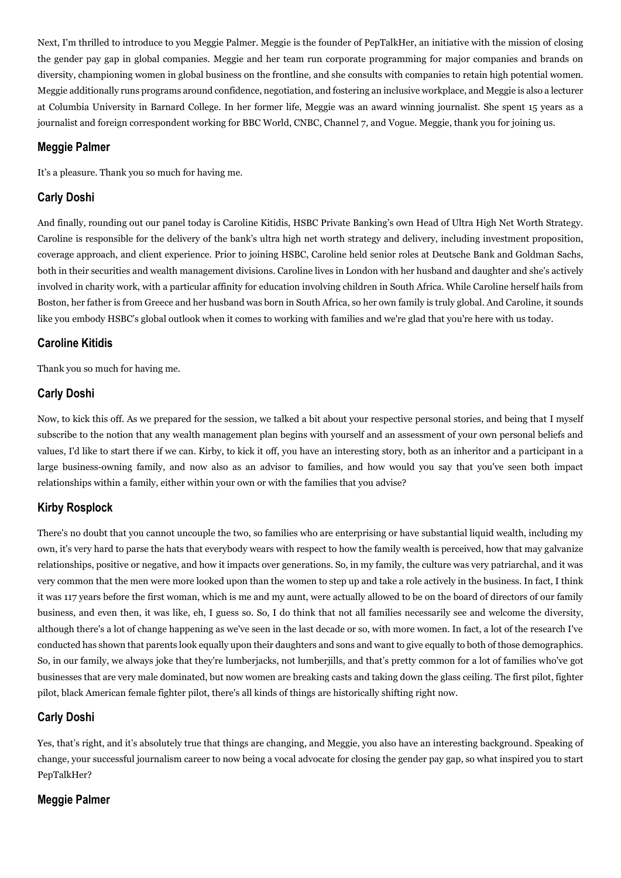Next, I'm thrilled to introduce to you Meggie Palmer. Meggie is the founder of PepTalkHer, an initiative with the mission of closing the gender pay gap in global companies. Meggie and her team run corporate programming for major companies and brands on diversity, championing women in global business on the frontline, and she consults with companies to retain high potential women. Meggie additionally runs programs around confidence, negotiation, and fostering an inclusive workplace, and Meggie is also a lecturer at Columbia University in Barnard College. In her former life, Meggie was an award winning journalist. She spent 15 years as a journalist and foreign correspondent working for BBC World, CNBC, Channel 7, and Vogue. Meggie, thank you for joining us.

#### **Meggie Palmer**

It's a pleasure. Thank you so much for having me.

## **Carly Doshi**

And finally, rounding out our panel today is Caroline Kitidis, HSBC Private Banking's own Head of Ultra High Net Worth Strategy. Caroline is responsible for the delivery of the bank's ultra high net worth strategy and delivery, including investment proposition, coverage approach, and client experience. Prior to joining HSBC, Caroline held senior roles at Deutsche Bank and Goldman Sachs, both in their securities and wealth management divisions. Caroline lives in London with her husband and daughter and she's actively involved in charity work, with a particular affinity for education involving children in South Africa. While Caroline herself hails from Boston, her father is from Greece and her husband was born in South Africa, so her own family is truly global. And Caroline, it sounds like you embody HSBC's global outlook when it comes to working with families and we're glad that you're here with us today.

## **Caroline Kitidis**

Thank you so much for having me.

## **Carly Doshi**

Now, to kick this off. As we prepared for the session, we talked a bit about your respective personal stories, and being that I myself subscribe to the notion that any wealth management plan begins with yourself and an assessment of your own personal beliefs and values, I'd like to start there if we can. Kirby, to kick it off, you have an interesting story, both as an inheritor and a participant in a large business-owning family, and now also as an advisor to families, and how would you say that you've seen both impact relationships within a family, either within your own or with the families that you advise?

## **Kirby Rosplock**

There's no doubt that you cannot uncouple the two, so families who are enterprising or have substantial liquid wealth, including my own, it's very hard to parse the hats that everybody wears with respect to how the family wealth is perceived, how that may galvanize relationships, positive or negative, and how it impacts over generations. So, in my family, the culture was very patriarchal, and it was very common that the men were more looked upon than the women to step up and take a role actively in the business. In fact, I think it was 117 years before the first woman, which is me and my aunt, were actually allowed to be on the board of directors of our family business, and even then, it was like, eh, I guess so. So, I do think that not all families necessarily see and welcome the diversity, although there's a lot of change happening as we've seen in the last decade or so, with more women. In fact, a lot of the research I've conducted has shown that parents look equally upon their daughters and sons and want to give equally to both of those demographics. So, in our family, we always joke that they're lumberjacks, not lumberjills, and that's pretty common for a lot of families who've got businesses that are very male dominated, but now women are breaking casts and taking down the glass ceiling. The first pilot, fighter pilot, black American female fighter pilot, there's all kinds of things are historically shifting right now.

## **Carly Doshi**

Yes, that's right, and it's absolutely true that things are changing, and Meggie, you also have an interesting background. Speaking of change, your successful journalism career to now being a vocal advocate for closing the gender pay gap, so what inspired you to start PepTalkHer?

## **Meggie Palmer**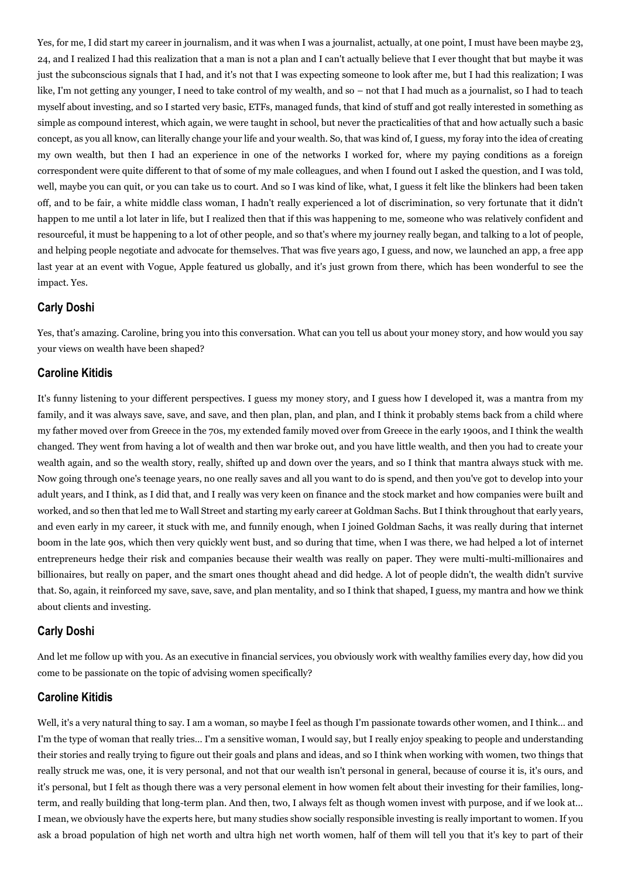Yes, for me, I did start my career in journalism, and it was when I was a journalist, actually, at one point, I must have been maybe 23, 24, and I realized I had this realization that a man is not a plan and I can't actually believe that I ever thought that but maybe it was just the subconscious signals that I had, and it's not that I was expecting someone to look after me, but I had this realization; I was like, I'm not getting any younger, I need to take control of my wealth, and so – not that I had much as a journalist, so I had to teach myself about investing, and so I started very basic, ETFs, managed funds, that kind of stuff and got really interested in something as simple as compound interest, which again, we were taught in school, but never the practicalities of that and how actually such a basic concept, as you all know, can literally change your life and your wealth. So, that was kind of, I guess, my foray into the idea of creating my own wealth, but then I had an experience in one of the networks I worked for, where my paying conditions as a foreign correspondent were quite different to that of some of my male colleagues, and when I found out I asked the question, and I was told, well, maybe you can quit, or you can take us to court. And so I was kind of like, what, I guess it felt like the blinkers had been taken off, and to be fair, a white middle class woman, I hadn't really experienced a lot of discrimination, so very fortunate that it didn't happen to me until a lot later in life, but I realized then that if this was happening to me, someone who was relatively confident and resourceful, it must be happening to a lot of other people, and so that's where my journey really began, and talking to a lot of people, and helping people negotiate and advocate for themselves. That was five years ago, I guess, and now, we launched an app, a free app last year at an event with Vogue, Apple featured us globally, and it's just grown from there, which has been wonderful to see the impact. Yes.

#### **Carly Doshi**

Yes, that's amazing. Caroline, bring you into this conversation. What can you tell us about your money story, and how would you say your views on wealth have been shaped?

#### **Caroline Kitidis**

It's funny listening to your different perspectives. I guess my money story, and I guess how I developed it, was a mantra from my family, and it was always save, save, and save, and then plan, plan, and plan, and I think it probably stems back from a child where my father moved over from Greece in the 70s, my extended family moved over from Greece in the early 1900s, and I think the wealth changed. They went from having a lot of wealth and then war broke out, and you have little wealth, and then you had to create your wealth again, and so the wealth story, really, shifted up and down over the years, and so I think that mantra always stuck with me. Now going through one's teenage years, no one really saves and all you want to do is spend, and then you've got to develop into your adult years, and I think, as I did that, and I really was very keen on finance and the stock market and how companies were built and worked, and so then that led me to Wall Street and starting my early career at Goldman Sachs. But I think throughout that early years, and even early in my career, it stuck with me, and funnily enough, when I joined Goldman Sachs, it was really during that internet boom in the late 90s, which then very quickly went bust, and so during that time, when I was there, we had helped a lot of internet entrepreneurs hedge their risk and companies because their wealth was really on paper. They were multi-multi-millionaires and billionaires, but really on paper, and the smart ones thought ahead and did hedge. A lot of people didn't, the wealth didn't survive that. So, again, it reinforced my save, save, save, and plan mentality, and so I think that shaped, I guess, my mantra and how we think about clients and investing.

#### **Carly Doshi**

And let me follow up with you. As an executive in financial services, you obviously work with wealthy families every day, how did you come to be passionate on the topic of advising women specifically?

#### **Caroline Kitidis**

Well, it's a very natural thing to say. I am a woman, so maybe I feel as though I'm passionate towards other women, and I think… and I'm the type of woman that really tries… I'm a sensitive woman, I would say, but I really enjoy speaking to people and understanding their stories and really trying to figure out their goals and plans and ideas, and so I think when working with women, two things that really struck me was, one, it is very personal, and not that our wealth isn't personal in general, because of course it is, it's ours, and it's personal, but I felt as though there was a very personal element in how women felt about their investing for their families, longterm, and really building that long-term plan. And then, two, I always felt as though women invest with purpose, and if we look at… I mean, we obviously have the experts here, but many studies show socially responsible investing is really important to women. If you ask a broad population of high net worth and ultra high net worth women, half of them will tell you that it's key to part of their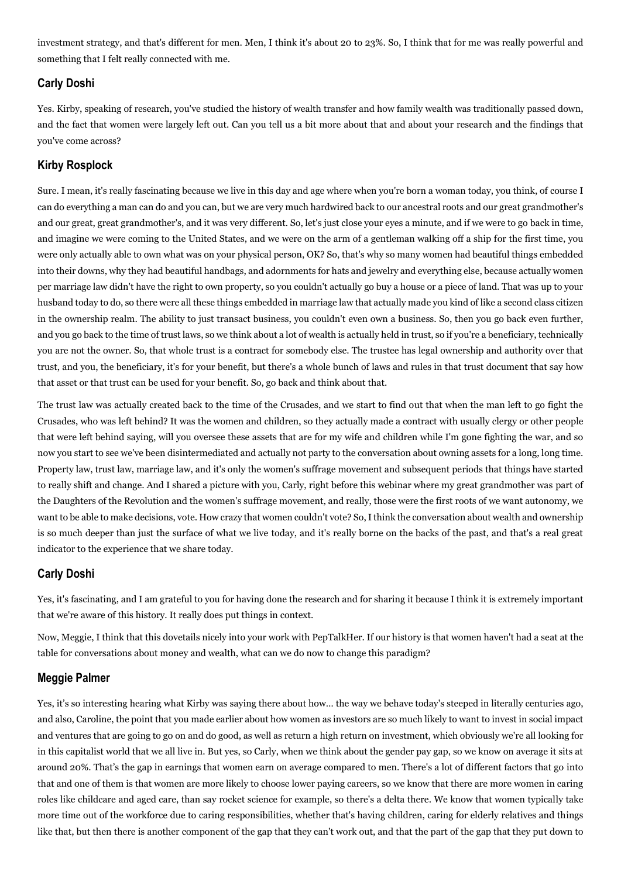investment strategy, and that's different for men. Men, I think it's about 20 to 23%. So, I think that for me was really powerful and something that I felt really connected with me.

## **Carly Doshi**

Yes. Kirby, speaking of research, you've studied the history of wealth transfer and how family wealth was traditionally passed down, and the fact that women were largely left out. Can you tell us a bit more about that and about your research and the findings that you've come across?

## **Kirby Rosplock**

Sure. I mean, it's really fascinating because we live in this day and age where when you're born a woman today, you think, of course I can do everything a man can do and you can, but we are very much hardwired back to our ancestral roots and our great grandmother's and our great, great grandmother's, and it was very different. So, let's just close your eyes a minute, and if we were to go back in time, and imagine we were coming to the United States, and we were on the arm of a gentleman walking off a ship for the first time, you were only actually able to own what was on your physical person, OK? So, that's why so many women had beautiful things embedded into their downs, why they had beautiful handbags, and adornments for hats and jewelry and everything else, because actually women per marriage law didn't have the right to own property, so you couldn't actually go buy a house or a piece of land. That was up to your husband today to do, so there were all these things embedded in marriage law that actually made you kind of like a second class citizen in the ownership realm. The ability to just transact business, you couldn't even own a business. So, then you go back even further, and you go back to the time of trust laws, so we think about a lot of wealth is actually held in trust, so if you're a beneficiary, technically you are not the owner. So, that whole trust is a contract for somebody else. The trustee has legal ownership and authority over that trust, and you, the beneficiary, it's for your benefit, but there's a whole bunch of laws and rules in that trust document that say how that asset or that trust can be used for your benefit. So, go back and think about that.

The trust law was actually created back to the time of the Crusades, and we start to find out that when the man left to go fight the Crusades, who was left behind? It was the women and children, so they actually made a contract with usually clergy or other people that were left behind saying, will you oversee these assets that are for my wife and children while I'm gone fighting the war, and so now you start to see we've been disintermediated and actually not party to the conversation about owning assets for a long, long time. Property law, trust law, marriage law, and it's only the women's suffrage movement and subsequent periods that things have started to really shift and change. And I shared a picture with you, Carly, right before this webinar where my great grandmother was part of the Daughters of the Revolution and the women's suffrage movement, and really, those were the first roots of we want autonomy, we want to be able to make decisions, vote. How crazy that women couldn't vote? So, I think the conversation about wealth and ownership is so much deeper than just the surface of what we live today, and it's really borne on the backs of the past, and that's a real great indicator to the experience that we share today.

## **Carly Doshi**

Yes, it's fascinating, and I am grateful to you for having done the research and for sharing it because I think it is extremely important that we're aware of this history. It really does put things in context.

Now, Meggie, I think that this dovetails nicely into your work with PepTalkHer. If our history is that women haven't had a seat at the table for conversations about money and wealth, what can we do now to change this paradigm?

## **Meggie Palmer**

Yes, it's so interesting hearing what Kirby was saying there about how… the way we behave today's steeped in literally centuries ago, and also, Caroline, the point that you made earlier about how women as investors are so much likely to want to invest in social impact and ventures that are going to go on and do good, as well as return a high return on investment, which obviously we're all looking for in this capitalist world that we all live in. But yes, so Carly, when we think about the gender pay gap, so we know on average it sits at around 20%. That's the gap in earnings that women earn on average compared to men. There's a lot of different factors that go into that and one of them is that women are more likely to choose lower paying careers, so we know that there are more women in caring roles like childcare and aged care, than say rocket science for example, so there's a delta there. We know that women typically take more time out of the workforce due to caring responsibilities, whether that's having children, caring for elderly relatives and things like that, but then there is another component of the gap that they can't work out, and that the part of the gap that they put down to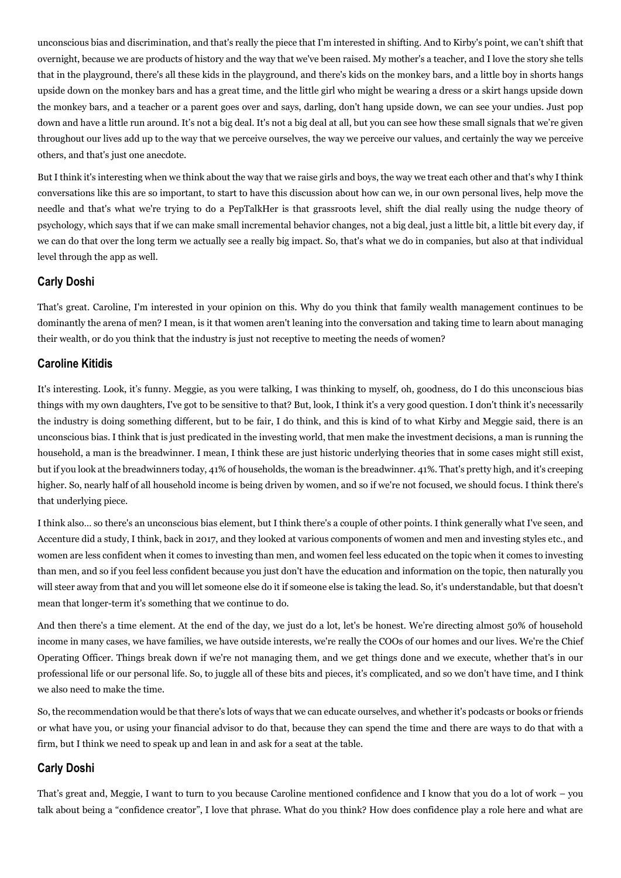unconscious bias and discrimination, and that's really the piece that I'm interested in shifting. And to Kirby's point, we can't shift that overnight, because we are products of history and the way that we've been raised. My mother's a teacher, and I love the story she tells that in the playground, there's all these kids in the playground, and there's kids on the monkey bars, and a little boy in shorts hangs upside down on the monkey bars and has a great time, and the little girl who might be wearing a dress or a skirt hangs upside down the monkey bars, and a teacher or a parent goes over and says, darling, don't hang upside down, we can see your undies. Just pop down and have a little run around. It's not a big deal. It's not a big deal at all, but you can see how these small signals that we're given throughout our lives add up to the way that we perceive ourselves, the way we perceive our values, and certainly the way we perceive others, and that's just one anecdote.

But I think it's interesting when we think about the way that we raise girls and boys, the way we treat each other and that's why I think conversations like this are so important, to start to have this discussion about how can we, in our own personal lives, help move the needle and that's what we're trying to do a PepTalkHer is that grassroots level, shift the dial really using the nudge theory of psychology, which says that if we can make small incremental behavior changes, not a big deal, just a little bit, a little bit every day, if we can do that over the long term we actually see a really big impact. So, that's what we do in companies, but also at that individual level through the app as well.

## **Carly Doshi**

That's great. Caroline, I'm interested in your opinion on this. Why do you think that family wealth management continues to be dominantly the arena of men? I mean, is it that women aren't leaning into the conversation and taking time to learn about managing their wealth, or do you think that the industry is just not receptive to meeting the needs of women?

## **Caroline Kitidis**

It's interesting. Look, it's funny. Meggie, as you were talking, I was thinking to myself, oh, goodness, do I do this unconscious bias things with my own daughters, I've got to be sensitive to that? But, look, I think it's a very good question. I don't think it's necessarily the industry is doing something different, but to be fair, I do think, and this is kind of to what Kirby and Meggie said, there is an unconscious bias. I think that is just predicated in the investing world, that men make the investment decisions, a man is running the household, a man is the breadwinner. I mean, I think these are just historic underlying theories that in some cases might still exist, but if you look at the breadwinners today, 41% of households, the woman is the breadwinner. 41%. That's pretty high, and it's creeping higher. So, nearly half of all household income is being driven by women, and so if we're not focused, we should focus. I think there's that underlying piece.

I think also… so there's an unconscious bias element, but I think there's a couple of other points. I think generally what I've seen, and Accenture did a study, I think, back in 2017, and they looked at various components of women and men and investing styles etc., and women are less confident when it comes to investing than men, and women feel less educated on the topic when it comes to investing than men, and so if you feel less confident because you just don't have the education and information on the topic, then naturally you will steer away from that and you will let someone else do it if someone else is taking the lead. So, it's understandable, but that doesn't mean that longer-term it's something that we continue to do.

And then there's a time element. At the end of the day, we just do a lot, let's be honest. We're directing almost 50% of household income in many cases, we have families, we have outside interests, we're really the COOs of our homes and our lives. We're the Chief Operating Officer. Things break down if we're not managing them, and we get things done and we execute, whether that's in our professional life or our personal life. So, to juggle all of these bits and pieces, it's complicated, and so we don't have time, and I think we also need to make the time.

So, the recommendation would be that there's lots of ways that we can educate ourselves, and whether it's podcasts or books or friends or what have you, or using your financial advisor to do that, because they can spend the time and there are ways to do that with a firm, but I think we need to speak up and lean in and ask for a seat at the table.

## **Carly Doshi**

That's great and, Meggie, I want to turn to you because Caroline mentioned confidence and I know that you do a lot of work – you talk about being a "confidence creator", I love that phrase. What do you think? How does confidence play a role here and what are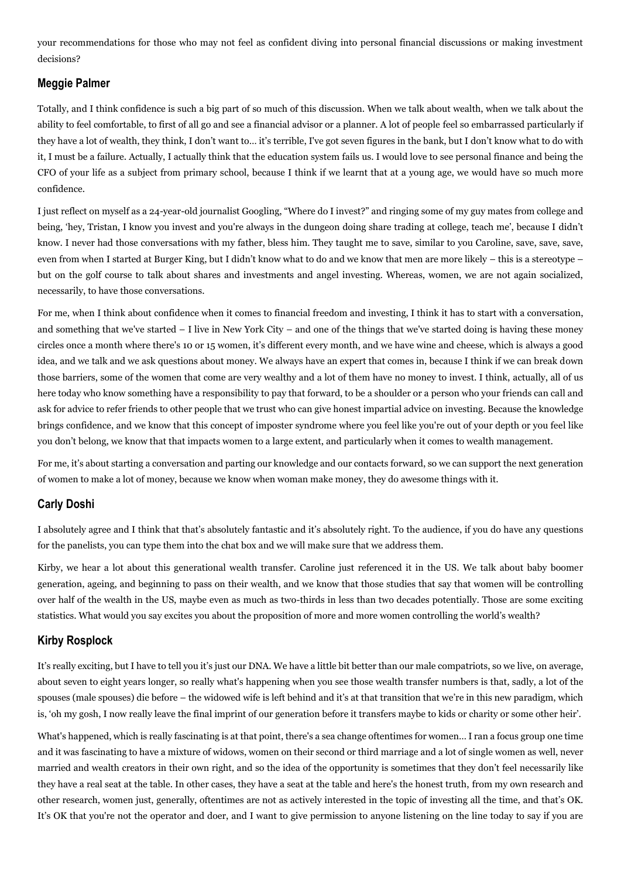your recommendations for those who may not feel as confident diving into personal financial discussions or making investment decisions?

#### **Meggie Palmer**

Totally, and I think confidence is such a big part of so much of this discussion. When we talk about wealth, when we talk about the ability to feel comfortable, to first of all go and see a financial advisor or a planner. A lot of people feel so embarrassed particularly if they have a lot of wealth, they think, I don't want to… it's terrible, I've got seven figures in the bank, but I don't know what to do with it, I must be a failure. Actually, I actually think that the education system fails us. I would love to see personal finance and being the CFO of your life as a subject from primary school, because I think if we learnt that at a young age, we would have so much more confidence.

I just reflect on myself as a 24-year-old journalist Googling, "Where do I invest?" and ringing some of my guy mates from college and being, 'hey, Tristan, I know you invest and you're always in the dungeon doing share trading at college, teach me', because I didn't know. I never had those conversations with my father, bless him. They taught me to save, similar to you Caroline, save, save, save, even from when I started at Burger King, but I didn't know what to do and we know that men are more likely – this is a stereotype – but on the golf course to talk about shares and investments and angel investing. Whereas, women, we are not again socialized, necessarily, to have those conversations.

For me, when I think about confidence when it comes to financial freedom and investing, I think it has to start with a conversation, and something that we've started – I live in New York City – and one of the things that we've started doing is having these money circles once a month where there's 10 or 15 women, it's different every month, and we have wine and cheese, which is always a good idea, and we talk and we ask questions about money. We always have an expert that comes in, because I think if we can break down those barriers, some of the women that come are very wealthy and a lot of them have no money to invest. I think, actually, all of us here today who know something have a responsibility to pay that forward, to be a shoulder or a person who your friends can call and ask for advice to refer friends to other people that we trust who can give honest impartial advice on investing. Because the knowledge brings confidence, and we know that this concept of imposter syndrome where you feel like you're out of your depth or you feel like you don't belong, we know that that impacts women to a large extent, and particularly when it comes to wealth management.

For me, it's about starting a conversation and parting our knowledge and our contacts forward, so we can support the next generation of women to make a lot of money, because we know when woman make money, they do awesome things with it.

## **Carly Doshi**

I absolutely agree and I think that that's absolutely fantastic and it's absolutely right. To the audience, if you do have any questions for the panelists, you can type them into the chat box and we will make sure that we address them.

Kirby, we hear a lot about this generational wealth transfer. Caroline just referenced it in the US. We talk about baby boomer generation, ageing, and beginning to pass on their wealth, and we know that those studies that say that women will be controlling over half of the wealth in the US, maybe even as much as two-thirds in less than two decades potentially. Those are some exciting statistics. What would you say excites you about the proposition of more and more women controlling the world's wealth?

## **Kirby Rosplock**

It's really exciting, but I have to tell you it's just our DNA. We have a little bit better than our male compatriots, so we live, on average, about seven to eight years longer, so really what's happening when you see those wealth transfer numbers is that, sadly, a lot of the spouses (male spouses) die before – the widowed wife is left behind and it's at that transition that we're in this new paradigm, which is, 'oh my gosh, I now really leave the final imprint of our generation before it transfers maybe to kids or charity or some other heir'.

What's happened, which is really fascinating is at that point, there's a sea change oftentimes for women… I ran a focus group one time and it was fascinating to have a mixture of widows, women on their second or third marriage and a lot of single women as well, never married and wealth creators in their own right, and so the idea of the opportunity is sometimes that they don't feel necessarily like they have a real seat at the table. In other cases, they have a seat at the table and here's the honest truth, from my own research and other research, women just, generally, oftentimes are not as actively interested in the topic of investing all the time, and that's OK. It's OK that you're not the operator and doer, and I want to give permission to anyone listening on the line today to say if you are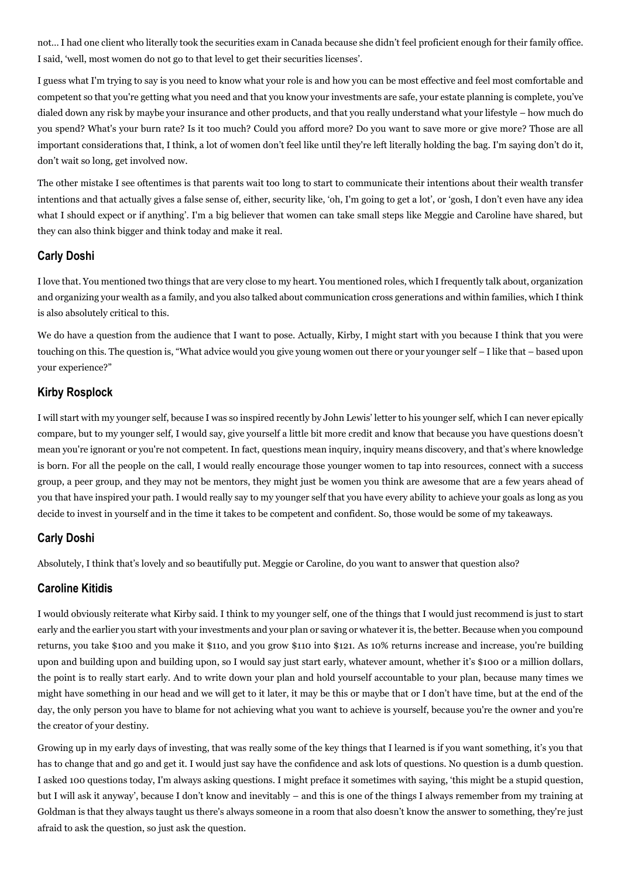not… I had one client who literally took the securities exam in Canada because she didn't feel proficient enough for their family office. I said, 'well, most women do not go to that level to get their securities licenses'.

I guess what I'm trying to say is you need to know what your role is and how you can be most effective and feel most comfortable and competent so that you're getting what you need and that you know your investments are safe, your estate planning is complete, you've dialed down any risk by maybe your insurance and other products, and that you really understand what your lifestyle – how much do you spend? What's your burn rate? Is it too much? Could you afford more? Do you want to save more or give more? Those are all important considerations that, I think, a lot of women don't feel like until they're left literally holding the bag. I'm saying don't do it, don't wait so long, get involved now.

The other mistake I see oftentimes is that parents wait too long to start to communicate their intentions about their wealth transfer intentions and that actually gives a false sense of, either, security like, 'oh, I'm going to get a lot', or 'gosh, I don't even have any idea what I should expect or if anything'. I'm a big believer that women can take small steps like Meggie and Caroline have shared, but they can also think bigger and think today and make it real.

## **Carly Doshi**

I love that. You mentioned two things that are very close to my heart. You mentioned roles, which I frequently talk about, organization and organizing your wealth as a family, and you also talked about communication cross generations and within families, which I think is also absolutely critical to this.

We do have a question from the audience that I want to pose. Actually, Kirby, I might start with you because I think that you were touching on this. The question is, "What advice would you give young women out there or your younger self – I like that – based upon your experience?"

#### **Kirby Rosplock**

I will start with my younger self, because I was so inspired recently by John Lewis' letter to his younger self, which I can never epically compare, but to my younger self, I would say, give yourself a little bit more credit and know that because you have questions doesn't mean you're ignorant or you're not competent. In fact, questions mean inquiry, inquiry means discovery, and that's where knowledge is born. For all the people on the call, I would really encourage those younger women to tap into resources, connect with a success group, a peer group, and they may not be mentors, they might just be women you think are awesome that are a few years ahead of you that have inspired your path. I would really say to my younger self that you have every ability to achieve your goals as long as you decide to invest in yourself and in the time it takes to be competent and confident. So, those would be some of my takeaways.

#### **Carly Doshi**

Absolutely, I think that's lovely and so beautifully put. Meggie or Caroline, do you want to answer that question also?

#### **Caroline Kitidis**

I would obviously reiterate what Kirby said. I think to my younger self, one of the things that I would just recommend is just to start early and the earlier you start with your investments and your plan or saving or whatever it is, the better. Because when you compound returns, you take \$100 and you make it \$110, and you grow \$110 into \$121. As 10% returns increase and increase, you're building upon and building upon and building upon, so I would say just start early, whatever amount, whether it's \$100 or a million dollars, the point is to really start early. And to write down your plan and hold yourself accountable to your plan, because many times we might have something in our head and we will get to it later, it may be this or maybe that or I don't have time, but at the end of the day, the only person you have to blame for not achieving what you want to achieve is yourself, because you're the owner and you're the creator of your destiny.

Growing up in my early days of investing, that was really some of the key things that I learned is if you want something, it's you that has to change that and go and get it. I would just say have the confidence and ask lots of questions. No question is a dumb question. I asked 100 questions today, I'm always asking questions. I might preface it sometimes with saying, 'this might be a stupid question, but I will ask it anyway', because I don't know and inevitably – and this is one of the things I always remember from my training at Goldman is that they always taught us there's always someone in a room that also doesn't know the answer to something, they're just afraid to ask the question, so just ask the question.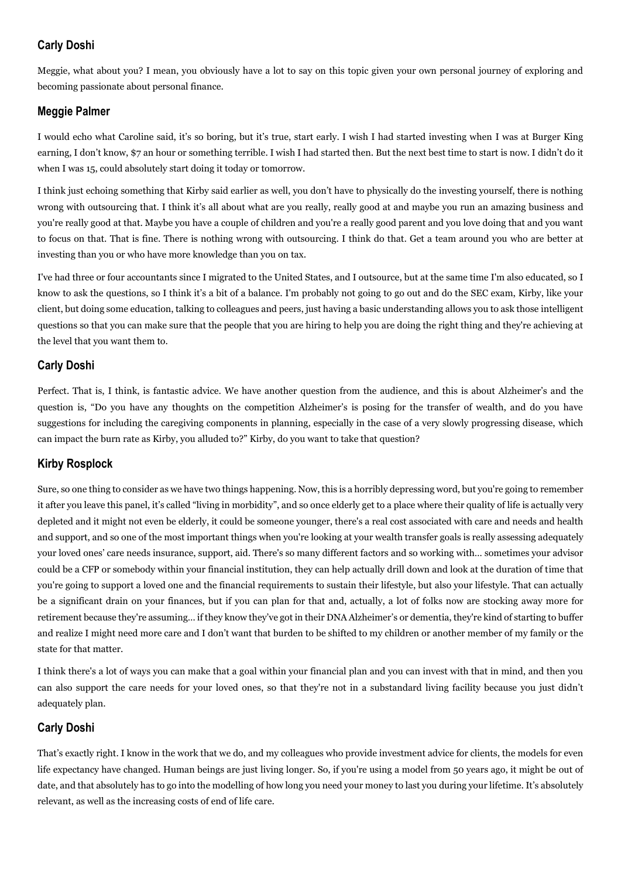## **Carly Doshi**

Meggie, what about you? I mean, you obviously have a lot to say on this topic given your own personal journey of exploring and becoming passionate about personal finance.

## **Meggie Palmer**

I would echo what Caroline said, it's so boring, but it's true, start early. I wish I had started investing when I was at Burger King earning, I don't know, \$7 an hour or something terrible. I wish I had started then. But the next best time to start is now. I didn't do it when I was 15, could absolutely start doing it today or tomorrow.

I think just echoing something that Kirby said earlier as well, you don't have to physically do the investing yourself, there is nothing wrong with outsourcing that. I think it's all about what are you really, really good at and maybe you run an amazing business and you're really good at that. Maybe you have a couple of children and you're a really good parent and you love doing that and you want to focus on that. That is fine. There is nothing wrong with outsourcing. I think do that. Get a team around you who are better at investing than you or who have more knowledge than you on tax.

I've had three or four accountants since I migrated to the United States, and I outsource, but at the same time I'm also educated, so I know to ask the questions, so I think it's a bit of a balance. I'm probably not going to go out and do the SEC exam, Kirby, like your client, but doing some education, talking to colleagues and peers, just having a basic understanding allows you to ask those intelligent questions so that you can make sure that the people that you are hiring to help you are doing the right thing and they're achieving at the level that you want them to.

## **Carly Doshi**

Perfect. That is, I think, is fantastic advice. We have another question from the audience, and this is about Alzheimer's and the question is, "Do you have any thoughts on the competition Alzheimer's is posing for the transfer of wealth, and do you have suggestions for including the caregiving components in planning, especially in the case of a very slowly progressing disease, which can impact the burn rate as Kirby, you alluded to?" Kirby, do you want to take that question?

## **Kirby Rosplock**

Sure, so one thing to consider as we have two things happening. Now, this is a horribly depressing word, but you're going to remember it after you leave this panel, it's called "living in morbidity", and so once elderly get to a place where their quality of life is actually very depleted and it might not even be elderly, it could be someone younger, there's a real cost associated with care and needs and health and support, and so one of the most important things when you're looking at your wealth transfer goals is really assessing adequately your loved ones' care needs insurance, support, aid. There's so many different factors and so working with… sometimes your advisor could be a CFP or somebody within your financial institution, they can help actually drill down and look at the duration of time that you're going to support a loved one and the financial requirements to sustain their lifestyle, but also your lifestyle. That can actually be a significant drain on your finances, but if you can plan for that and, actually, a lot of folks now are stocking away more for retirement because they're assuming… if they know they've got in their DNA Alzheimer's or dementia, they're kind of starting to buffer and realize I might need more care and I don't want that burden to be shifted to my children or another member of my family or the state for that matter.

I think there's a lot of ways you can make that a goal within your financial plan and you can invest with that in mind, and then you can also support the care needs for your loved ones, so that they're not in a substandard living facility because you just didn't adequately plan.

## **Carly Doshi**

That's exactly right. I know in the work that we do, and my colleagues who provide investment advice for clients, the models for even life expectancy have changed. Human beings are just living longer. So, if you're using a model from 50 years ago, it might be out of date, and that absolutely has to go into the modelling of how long you need your money to last you during your lifetime. It's absolutely relevant, as well as the increasing costs of end of life care.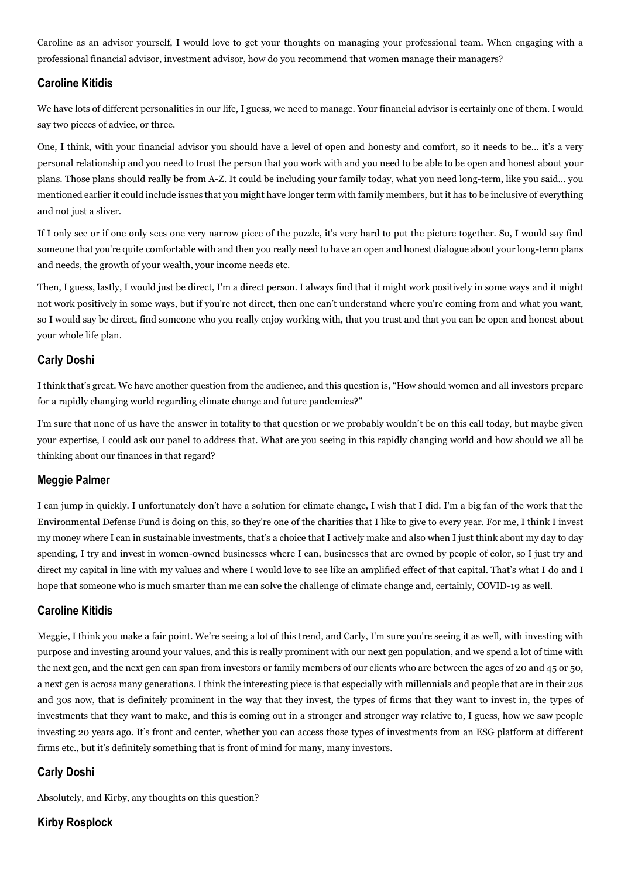Caroline as an advisor yourself, I would love to get your thoughts on managing your professional team. When engaging with a professional financial advisor, investment advisor, how do you recommend that women manage their managers?

## **Caroline Kitidis**

We have lots of different personalities in our life, I guess, we need to manage. Your financial advisor is certainly one of them. I would say two pieces of advice, or three.

One, I think, with your financial advisor you should have a level of open and honesty and comfort, so it needs to be… it's a very personal relationship and you need to trust the person that you work with and you need to be able to be open and honest about your plans. Those plans should really be from A-Z. It could be including your family today, what you need long-term, like you said… you mentioned earlier it could include issues that you might have longer term with family members, but it has to be inclusive of everything and not just a sliver.

If I only see or if one only sees one very narrow piece of the puzzle, it's very hard to put the picture together. So, I would say find someone that you're quite comfortable with and then you really need to have an open and honest dialogue about your long-term plans and needs, the growth of your wealth, your income needs etc.

Then, I guess, lastly, I would just be direct, I'm a direct person. I always find that it might work positively in some ways and it might not work positively in some ways, but if you're not direct, then one can't understand where you're coming from and what you want, so I would say be direct, find someone who you really enjoy working with, that you trust and that you can be open and honest about your whole life plan.

## **Carly Doshi**

I think that's great. We have another question from the audience, and this question is, "How should women and all investors prepare for a rapidly changing world regarding climate change and future pandemics?"

I'm sure that none of us have the answer in totality to that question or we probably wouldn't be on this call today, but maybe given your expertise, I could ask our panel to address that. What are you seeing in this rapidly changing world and how should we all be thinking about our finances in that regard?

## **Meggie Palmer**

I can jump in quickly. I unfortunately don't have a solution for climate change, I wish that I did. I'm a big fan of the work that the Environmental Defense Fund is doing on this, so they're one of the charities that I like to give to every year. For me, I think I invest my money where I can in sustainable investments, that's a choice that I actively make and also when I just think about my day to day spending, I try and invest in women-owned businesses where I can, businesses that are owned by people of color, so I just try and direct my capital in line with my values and where I would love to see like an amplified effect of that capital. That's what I do and I hope that someone who is much smarter than me can solve the challenge of climate change and, certainly, COVID-19 as well.

## **Caroline Kitidis**

Meggie, I think you make a fair point. We're seeing a lot of this trend, and Carly, I'm sure you're seeing it as well, with investing with purpose and investing around your values, and this is really prominent with our next gen population, and we spend a lot of time with the next gen, and the next gen can span from investors or family members of our clients who are between the ages of 20 and 45 or 50, a next gen is across many generations. I think the interesting piece is that especially with millennials and people that are in their 20s and 30s now, that is definitely prominent in the way that they invest, the types of firms that they want to invest in, the types of investments that they want to make, and this is coming out in a stronger and stronger way relative to, I guess, how we saw people investing 20 years ago. It's front and center, whether you can access those types of investments from an ESG platform at different firms etc., but it's definitely something that is front of mind for many, many investors.

## **Carly Doshi**

Absolutely, and Kirby, any thoughts on this question?

## **Kirby Rosplock**